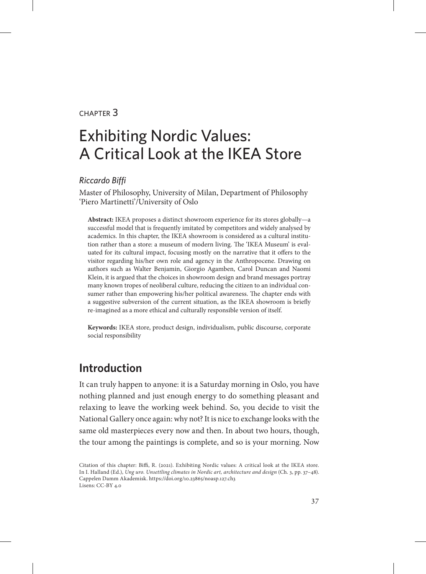#### chapter 3

# Exhibiting Nordic Values: A Critical Look at the IKEA Store

#### *Riccardo Biffi*

Master of Philosophy, University of Milan, Department of Philosophy 'Piero Martinetti'/University of Oslo

**Abstract:** IKEA proposes a distinct showroom experience for its stores globally—a successful model that is frequently imitated by competitors and widely analysed by academics. In this chapter, the IKEA showroom is considered as a cultural institution rather than a store: a museum of modern living. The 'IKEA Museum' is evaluated for its cultural impact, focusing mostly on the narrative that it offers to the visitor regarding his/her own role and agency in the Anthropocene. Drawing on authors such as Walter Benjamin, Giorgio Agamben, Carol Duncan and Naomi Klein, it is argued that the choices in showroom design and brand messages portray many known tropes of neoliberal culture, reducing the citizen to an individual consumer rather than empowering his/her political awareness. The chapter ends with a suggestive subversion of the current situation, as the IKEA showroom is briefly re-imagined as a more ethical and culturally responsible version of itself.

**Keywords:** IKEA store, product design, individualism, public discourse, corporate social responsibility

## **Introduction**

It can truly happen to anyone: it is a Saturday morning in Oslo, you have nothing planned and just enough energy to do something pleasant and relaxing to leave the working week behind. So, you decide to visit the National Gallery once again: why not? It is nice to exchange looks with the same old masterpieces every now and then. In about two hours, though, the tour among the paintings is complete, and so is your morning. Now

Citation of this chapter: Biffi, R. (2021). Exhibiting Nordic values: A critical look at the IKEA store. In I. Halland (Ed.), *Ung uro. Unsettling climates in Nordic art, architecture and design* (Ch. 3, pp. 37–48). Cappelen Damm Akademisk. https://doi.org/10.23865/noasp.127.ch3 Lisens: CC-BY 4.0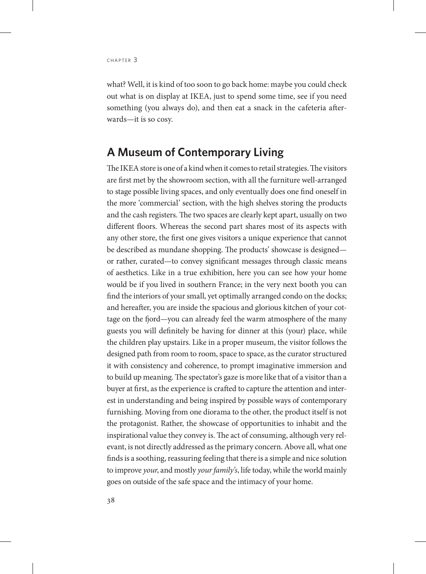what? Well, it is kind of too soon to go back home: maybe you could check out what is on display at IKEA, just to spend some time, see if you need something (you always do), and then eat a snack in the cafeteria afterwards—it is so cosy.

## **A Museum of Contemporary Living**

The IKEA store is one of a kind when it comes to retail strategies. The visitors are first met by the showroom section, with all the furniture well-arranged to stage possible living spaces, and only eventually does one find oneself in the more 'commercial' section, with the high shelves storing the products and the cash registers. The two spaces are clearly kept apart, usually on two different floors. Whereas the second part shares most of its aspects with any other store, the first one gives visitors a unique experience that cannot be described as mundane shopping. The products' showcase is designed or rather, curated—to convey significant messages through classic means of aesthetics. Like in a true exhibition, here you can see how your home would be if you lived in southern France; in the very next booth you can find the interiors of your small, yet optimally arranged condo on the docks; and hereafter, you are inside the spacious and glorious kitchen of your cottage on the fjord—you can already feel the warm atmosphere of the many guests you will definitely be having for dinner at this (your) place, while the children play upstairs. Like in a proper museum, the visitor follows the designed path from room to room, space to space, as the curator structured it with consistency and coherence, to prompt imaginative immersion and to build up meaning. The spectator's gaze is more like that of a visitor than a buyer at first, as the experience is crafted to capture the attention and interest in understanding and being inspired by possible ways of contemporary furnishing. Moving from one diorama to the other, the product itself is not the protagonist. Rather, the showcase of opportunities to inhabit and the inspirational value they convey is. The act of consuming, although very relevant, is not directly addressed as the primary concern. Above all, what one finds is a soothing, reassuring feeling that there is a simple and nice solution to improve *your*, and mostly *your family's*, life today, while the world mainly goes on outside of the safe space and the intimacy of your home.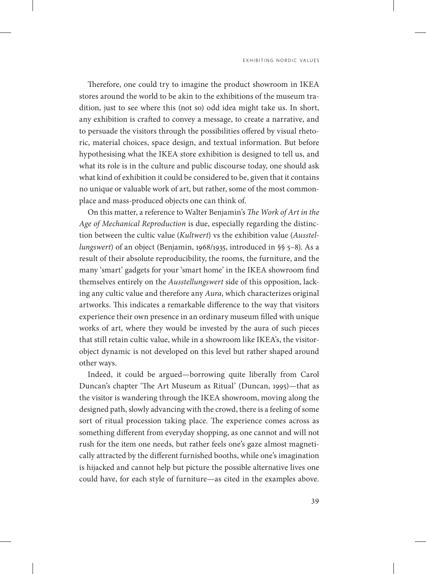Therefore, one could try to imagine the product showroom in IKEA stores around the world to be akin to the exhibitions of the museum tradition, just to see where this (not so) odd idea might take us. In short, any exhibition is crafted to convey a message, to create a narrative, and to persuade the visitors through the possibilities offered by visual rhetoric, material choices, space design, and textual information. But before hypothesising what the IKEA store exhibition is designed to tell us, and what its role is in the culture and public discourse today, one should ask what kind of exhibition it could be considered to be, given that it contains no unique or valuable work of art, but rather, some of the most commonplace and mass-produced objects one can think of.

On this matter, a reference to Walter Benjamin's *The Work of Art in the Age of Mechanical Reproduction* is due, especially regarding the distinction between the cultic value (*Kultwert*) vs the exhibition value (*Ausstellungswert*) of an object (Benjamin, 1968/1935, introduced in §§ 5–8). As a result of their absolute reproducibility, the rooms, the furniture, and the many 'smart' gadgets for your 'smart home' in the IKEA showroom find themselves entirely on the *Ausstellungswert* side of this opposition, lacking any cultic value and therefore any *Aura*, which characterizes original artworks. This indicates a remarkable difference to the way that visitors experience their own presence in an ordinary museum filled with unique works of art, where they would be invested by the aura of such pieces that still retain cultic value, while in a showroom like IKEA's, the visitorobject dynamic is not developed on this level but rather shaped around other ways.

Indeed, it could be argued—borrowing quite liberally from Carol Duncan's chapter 'The Art Museum as Ritual' (Duncan, 1995)—that as the visitor is wandering through the IKEA showroom, moving along the designed path, slowly advancing with the crowd, there is a feeling of some sort of ritual procession taking place. The experience comes across as something different from everyday shopping, as one cannot and will not rush for the item one needs, but rather feels one's gaze almost magnetically attracted by the different furnished booths, while one's imagination is hijacked and cannot help but picture the possible alternative lives one could have, for each style of furniture—as cited in the examples above.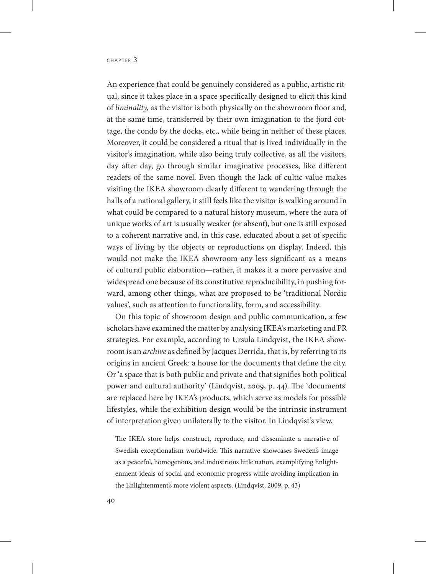An experience that could be genuinely considered as a public, artistic ritual, since it takes place in a space specifically designed to elicit this kind of *liminality*, as the visitor is both physically on the showroom floor and, at the same time, transferred by their own imagination to the fjord cottage, the condo by the docks, etc., while being in neither of these places. Moreover, it could be considered a ritual that is lived individually in the visitor's imagination, while also being truly collective, as all the visitors, day after day, go through similar imaginative processes, like different readers of the same novel. Even though the lack of cultic value makes visiting the IKEA showroom clearly different to wandering through the halls of a national gallery, it still feels like the visitor is walking around in what could be compared to a natural history museum, where the aura of unique works of art is usually weaker (or absent), but one is still exposed to a coherent narrative and, in this case, educated about a set of specific ways of living by the objects or reproductions on display. Indeed, this would not make the IKEA showroom any less significant as a means of cultural public elaboration—rather, it makes it a more pervasive and widespread one because of its constitutive reproducibility, in pushing forward, among other things, what are proposed to be 'traditional Nordic values', such as attention to functionality, form, and accessibility.

On this topic of showroom design and public communication, a few scholars have examined the matter by analysing IKEA's marketing and PR strategies. For example, according to Ursula Lindqvist, the IKEA showroom is an *archive* as defined by Jacques Derrida, that is, by referring to its origins in ancient Greek: a house for the documents that define the city. Or 'a space that is both public and private and that signifies both political power and cultural authority' (Lindqvist, 2009, p. 44). The 'documents' are replaced here by IKEA's products, which serve as models for possible lifestyles, while the exhibition design would be the intrinsic instrument of interpretation given unilaterally to the visitor. In Lindqvist's view,

The IKEA store helps construct, reproduce, and disseminate a narrative of Swedish exceptionalism worldwide. This narrative showcases Sweden's image as a peaceful, homogenous, and industrious little nation, exemplifying Enlightenment ideals of social and economic progress while avoiding implication in the Enlightenment's more violent aspects. (Lindqvist, 2009, p. 43)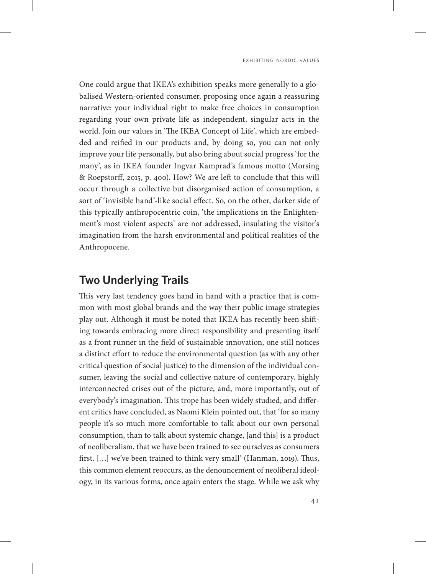One could argue that IKEA's exhibition speaks more generally to a globalised Western-oriented consumer, proposing once again a reassuring narrative: your individual right to make free choices in consumption regarding your own private life as independent, singular acts in the world. Join our values in 'The IKEA Concept of Life', which are embedded and reified in our products and, by doing so, you can not only improve your life personally, but also bring about social progress 'for the many', as in IKEA founder Ingvar Kamprad's famous motto (Morsing & Roepstorff, 2015, p. 400). How? We are left to conclude that this will occur through a collective but disorganised action of consumption, a sort of 'invisible hand'-like social effect. So, on the other, darker side of this typically anthropocentric coin, 'the implications in the Enlightenment's most violent aspects' are not addressed, insulating the visitor's imagination from the harsh environmental and political realities of the Anthropocene.

#### **Two Underlying Trails**

This very last tendency goes hand in hand with a practice that is common with most global brands and the way their public image strategies play out. Although it must be noted that IKEA has recently been shifting towards embracing more direct responsibility and presenting itself as a front runner in the field of sustainable innovation, one still notices a distinct effort to reduce the environmental question (as with any other critical question of social justice) to the dimension of the individual consumer, leaving the social and collective nature of contemporary, highly interconnected crises out of the picture, and, more importantly, out of everybody's imagination. This trope has been widely studied, and different critics have concluded, as Naomi Klein pointed out, that 'for so many people it's so much more comfortable to talk about our own personal consumption, than to talk about systemic change, [and this] is a product of neoliberalism, that we have been trained to see ourselves as consumers first. […] we've been trained to think very small' (Hanman, 2019). Thus, this common element reoccurs, as the denouncement of neoliberal ideology, in its various forms, once again enters the stage. While we ask why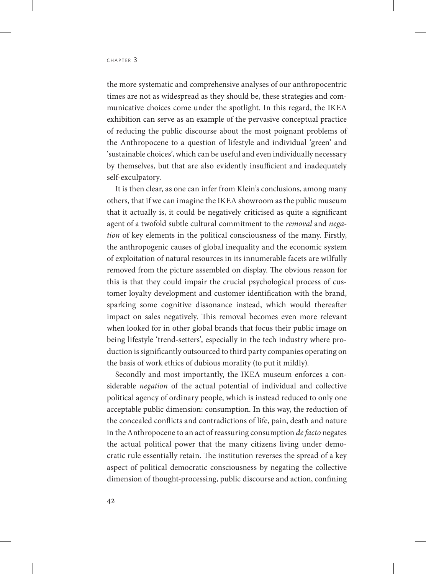the more systematic and comprehensive analyses of our anthropocentric times are not as widespread as they should be, these strategies and communicative choices come under the spotlight. In this regard, the IKEA exhibition can serve as an example of the pervasive conceptual practice of reducing the public discourse about the most poignant problems of the Anthropocene to a question of lifestyle and individual 'green' and 'sustainable choices', which can be useful and even individually necessary by themselves, but that are also evidently insufficient and inadequately self-exculpatory.

It is then clear, as one can infer from Klein's conclusions, among many others, that if we can imagine the IKEA showroom as the public museum that it actually is, it could be negatively criticised as quite a significant agent of a twofold subtle cultural commitment to the *removal* and *negation* of key elements in the political consciousness of the many. Firstly, the anthropogenic causes of global inequality and the economic system of exploitation of natural resources in its innumerable facets are wilfully removed from the picture assembled on display. The obvious reason for this is that they could impair the crucial psychological process of customer loyalty development and customer identification with the brand, sparking some cognitive dissonance instead, which would thereafter impact on sales negatively. This removal becomes even more relevant when looked for in other global brands that focus their public image on being lifestyle 'trend-setters', especially in the tech industry where production is significantly outsourced to third party companies operating on the basis of work ethics of dubious morality (to put it mildly).

Secondly and most importantly, the IKEA museum enforces a considerable *negation* of the actual potential of individual and collective political agency of ordinary people, which is instead reduced to only one acceptable public dimension: consumption. In this way, the reduction of the concealed conflicts and contradictions of life, pain, death and nature in the Anthropocene to an act of reassuring consumption *de facto* negates the actual political power that the many citizens living under democratic rule essentially retain. The institution reverses the spread of a key aspect of political democratic consciousness by negating the collective dimension of thought-processing, public discourse and action, confining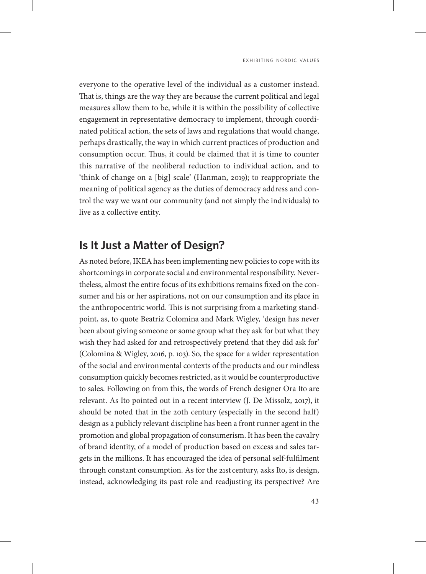everyone to the operative level of the individual as a customer instead. That is, things are the way they are because the current political and legal measures allow them to be, while it is within the possibility of collective engagement in representative democracy to implement, through coordinated political action, the sets of laws and regulations that would change, perhaps drastically, the way in which current practices of production and consumption occur. Thus, it could be claimed that it is time to counter this narrative of the neoliberal reduction to individual action, and to 'think of change on a [big] scale' (Hanman, 2019); to reappropriate the meaning of political agency as the duties of democracy address and control the way we want our community (and not simply the individuals) to live as a collective entity.

# **Is It Just a Matter of Design?**

As noted before, IKEA has been implementing new policies to cope with its shortcomings in corporate social and environmental responsibility. Nevertheless, almost the entire focus of its exhibitions remains fixed on the consumer and his or her aspirations, not on our consumption and its place in the anthropocentric world. This is not surprising from a marketing standpoint, as, to quote Beatriz Colomina and Mark Wigley, 'design has never been about giving someone or some group what they ask for but what they wish they had asked for and retrospectively pretend that they did ask for' (Colomina & Wigley, 2016, p. 103). So, the space for a wider representation of the social and environmental contexts of the products and our mindless consumption quickly becomes restricted, as it would be counterproductive to sales. Following on from this, the words of French designer Ora Ito are relevant. As Ito pointed out in a recent interview (J. De Missolz, 2017), it should be noted that in the 20th century (especially in the second half) design as a publicly relevant discipline has been a front runner agent in the promotion and global propagation of consumerism. It has been the cavalry of brand identity, of a model of production based on excess and sales targets in the millions. It has encouraged the idea of personal self-fulfilment through constant consumption. As for the 21st century, asks Ito, is design, instead, acknowledging its past role and readjusting its perspective? Are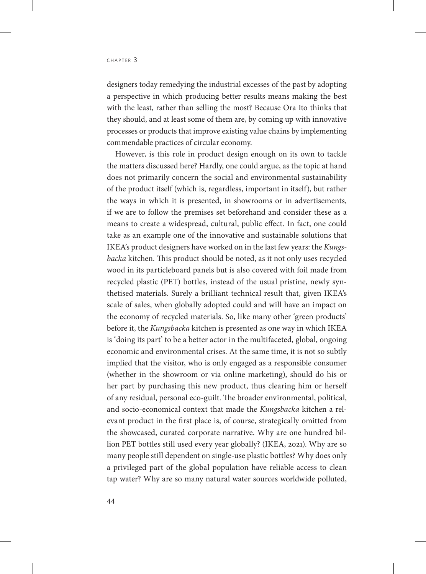designers today remedying the industrial excesses of the past by adopting a perspective in which producing better results means making the best with the least, rather than selling the most? Because Ora Ito thinks that they should, and at least some of them are, by coming up with innovative processes or products that improve existing value chains by implementing commendable practices of circular economy.

However, is this role in product design enough on its own to tackle the matters discussed here? Hardly, one could argue, as the topic at hand does not primarily concern the social and environmental sustainability of the product itself (which is, regardless, important in itself), but rather the ways in which it is presented, in showrooms or in advertisements, if we are to follow the premises set beforehand and consider these as a means to create a widespread, cultural, public effect. In fact, one could take as an example one of the innovative and sustainable solutions that IKEA's product designers have worked on in the last few years: the *Kungsbacka* kitchen*.* This product should be noted, as it not only uses recycled wood in its particleboard panels but is also covered with foil made from recycled plastic (PET) bottles, instead of the usual pristine, newly synthetised materials. Surely a brilliant technical result that, given IKEA's scale of sales, when globally adopted could and will have an impact on the economy of recycled materials. So, like many other 'green products' before it, the *Kungsbacka* kitchen is presented as one way in which IKEA is 'doing its part' to be a better actor in the multifaceted, global, ongoing economic and environmental crises. At the same time, it is not so subtly implied that the visitor, who is only engaged as a responsible consumer (whether in the showroom or via online marketing), should do his or her part by purchasing this new product, thus clearing him or herself of any residual, personal eco-guilt. The broader environmental, political, and socio-economical context that made the *Kungsbacka* kitchen a relevant product in the first place is, of course, strategically omitted from the showcased, curated corporate narrative. Why are one hundred billion PET bottles still used every year globally? (IKEA, 2021). Why are so many people still dependent on single-use plastic bottles? Why does only a privileged part of the global population have reliable access to clean tap water? Why are so many natural water sources worldwide polluted,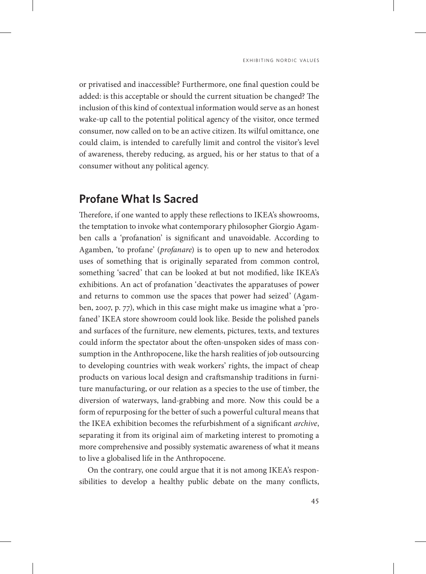or privatised and inaccessible? Furthermore, one final question could be added: is this acceptable or should the current situation be changed? The inclusion of this kind of contextual information would serve as an honest wake-up call to the potential political agency of the visitor, once termed consumer, now called on to be an active citizen. Its wilful omittance, one could claim, is intended to carefully limit and control the visitor's level of awareness, thereby reducing, as argued, his or her status to that of a consumer without any political agency.

## **Profane What Is Sacred**

Therefore, if one wanted to apply these reflections to IKEA's showrooms, the temptation to invoke what contemporary philosopher Giorgio Agamben calls a 'profanation' is significant and unavoidable. According to Agamben, 'to profane' (*profanare*) is to open up to new and heterodox uses of something that is originally separated from common control, something 'sacred' that can be looked at but not modified, like IKEA's exhibitions. An act of profanation 'deactivates the apparatuses of power and returns to common use the spaces that power had seized' (Agamben, 2007, p. 77), which in this case might make us imagine what a 'profaned' IKEA store showroom could look like. Beside the polished panels and surfaces of the furniture, new elements, pictures, texts, and textures could inform the spectator about the often-unspoken sides of mass consumption in the Anthropocene, like the harsh realities of job outsourcing to developing countries with weak workers' rights, the impact of cheap products on various local design and craftsmanship traditions in furniture manufacturing, or our relation as a species to the use of timber, the diversion of waterways, land-grabbing and more. Now this could be a form of repurposing for the better of such a powerful cultural means that the IKEA exhibition becomes the refurbishment of a significant *archive*, separating it from its original aim of marketing interest to promoting a more comprehensive and possibly systematic awareness of what it means to live a globalised life in the Anthropocene.

On the contrary, one could argue that it is not among IKEA's responsibilities to develop a healthy public debate on the many conflicts,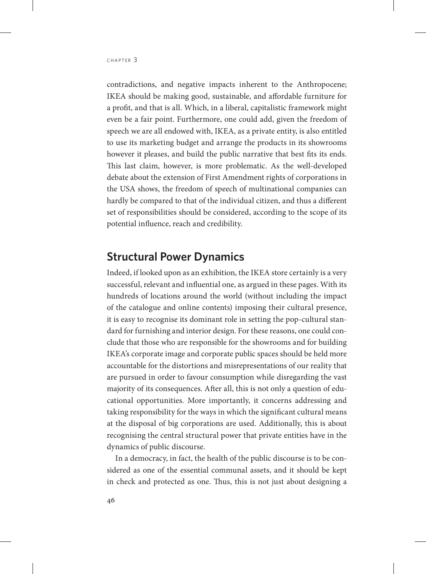contradictions, and negative impacts inherent to the Anthropocene; IKEA should be making good, sustainable, and affordable furniture for a profit, and that is all. Which, in a liberal, capitalistic framework might even be a fair point. Furthermore, one could add, given the freedom of speech we are all endowed with, IKEA, as a private entity, is also entitled to use its marketing budget and arrange the products in its showrooms however it pleases, and build the public narrative that best fits its ends. This last claim, however, is more problematic. As the well-developed debate about the extension of First Amendment rights of corporations in the USA shows, the freedom of speech of multinational companies can hardly be compared to that of the individual citizen, and thus a different set of responsibilities should be considered, according to the scope of its potential influence, reach and credibility.

## **Structural Power Dynamics**

Indeed, if looked upon as an exhibition, the IKEA store certainly is a very successful, relevant and influential one, as argued in these pages. With its hundreds of locations around the world (without including the impact of the catalogue and online contents) imposing their cultural presence, it is easy to recognise its dominant role in setting the pop-cultural standard for furnishing and interior design. For these reasons, one could conclude that those who are responsible for the showrooms and for building IKEA's corporate image and corporate public spaces should be held more accountable for the distortions and misrepresentations of our reality that are pursued in order to favour consumption while disregarding the vast majority of its consequences. After all, this is not only a question of educational opportunities. More importantly, it concerns addressing and taking responsibility for the ways in which the significant cultural means at the disposal of big corporations are used. Additionally, this is about recognising the central structural power that private entities have in the dynamics of public discourse.

In a democracy, in fact, the health of the public discourse is to be considered as one of the essential communal assets, and it should be kept in check and protected as one. Thus, this is not just about designing a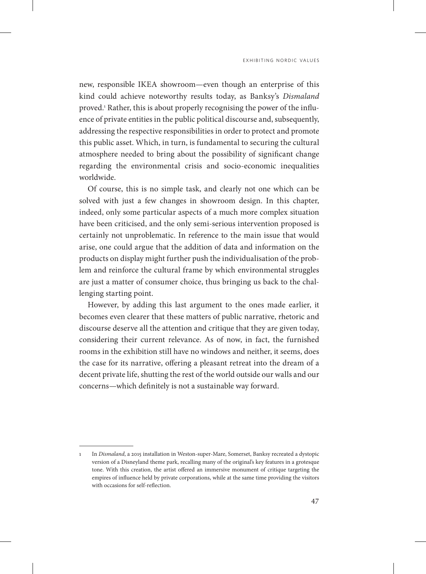new, responsible IKEA showroom—even though an enterprise of this kind could achieve noteworthy results today, as Banksy's *Dismaland*  proved.<sup>1</sup> Rather, this is about properly recognising the power of the influence of private entities in the public political discourse and, subsequently, addressing the respective responsibilities in order to protect and promote this public asset. Which, in turn, is fundamental to securing the cultural atmosphere needed to bring about the possibility of significant change regarding the environmental crisis and socio-economic inequalities worldwide.

Of course, this is no simple task, and clearly not one which can be solved with just a few changes in showroom design. In this chapter, indeed, only some particular aspects of a much more complex situation have been criticised, and the only semi-serious intervention proposed is certainly not unproblematic. In reference to the main issue that would arise, one could argue that the addition of data and information on the products on display might further push the individualisation of the problem and reinforce the cultural frame by which environmental struggles are just a matter of consumer choice, thus bringing us back to the challenging starting point.

However, by adding this last argument to the ones made earlier, it becomes even clearer that these matters of public narrative, rhetoric and discourse deserve all the attention and critique that they are given today, considering their current relevance. As of now, in fact, the furnished rooms in the exhibition still have no windows and neither, it seems, does the case for its narrative, offering a pleasant retreat into the dream of a decent private life, shutting the rest of the world outside our walls and our concerns—which definitely is not a sustainable way forward.

<sup>1</sup> In *Dismaland*, a 2015 installation in Weston-super-Mare, Somerset, Banksy recreated a dystopic version of a Disneyland theme park, recalling many of the original's key features in a grotesque tone. With this creation, the artist offered an immersive monument of critique targeting the empires of influence held by private corporations, while at the same time providing the visitors with occasions for self-reflection.